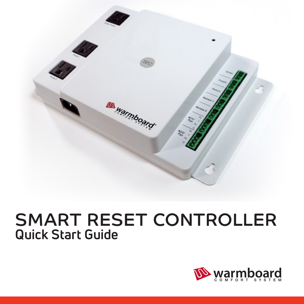

## SMART RESET CONTROLLER **Quick Start Guide**

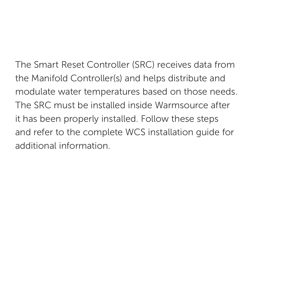The Smart Reset Controller (SRC) receives data from the Manifold Controller(s) and helps distribute and modulate water temperatures based on those needs. The SRC must be installed inside Warmsource after it has been properly installed. Follow these steps and refer to the complete WCS installation guide for additional information.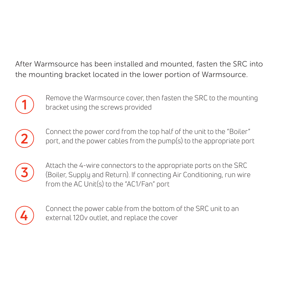After Warmsource has been installed and mounted, fasten the SRC into the mounting bracket located in the lower portion of Warmsource.



Remove the Warmsource cover, then fasten the SRC to the mounting bracket using the screws provided



Connect the power cord from the top half of the unit to the "Boiler" port, and the power cables from the pump(s) to the appropriate port



Attach the 4-wire connectors to the appropriate ports on the SRC (Boiler, Supply and Return). If connecting Air Conditioning, run wire from the AC Unit(s) to the "AC1/Fan" port



Connect the power cable from the bottom of the SRC unit to an external 120v outlet, and replace the cover